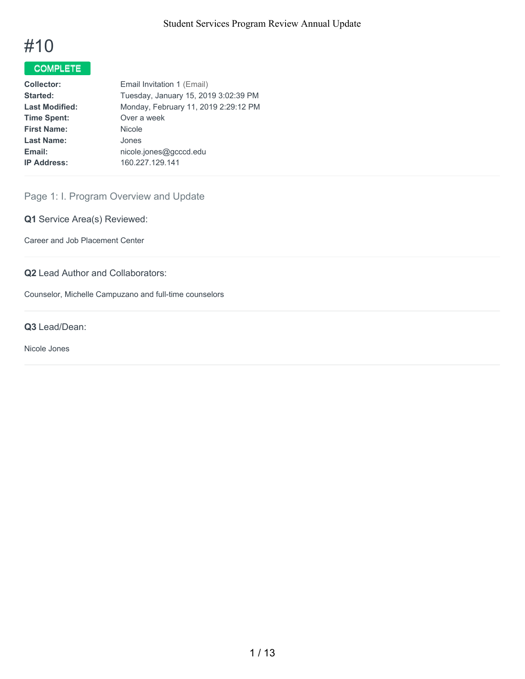

# COMPLETE

| <b>Collector:</b>     | Email Invitation 1 (Email)           |
|-----------------------|--------------------------------------|
| Started:              | Tuesday, January 15, 2019 3:02:39 PM |
| <b>Last Modified:</b> | Monday, February 11, 2019 2:29:12 PM |
| <b>Time Spent:</b>    | Over a week                          |
| <b>First Name:</b>    | <b>Nicole</b>                        |
| <b>Last Name:</b>     | Jones                                |
| Email:                | nicole.jones@gcccd.edu               |
| <b>IP Address:</b>    | 160.227.129.141                      |
|                       |                                      |

# Page 1: I. Program Overview and Update

**Q1** Service Area(s) Reviewed:

Career and Job Placement Center

**Q2** Lead Author and Collaborators:

Counselor, Michelle Campuzano and full-time counselors

#### **Q3** Lead/Dean:

Nicole Jones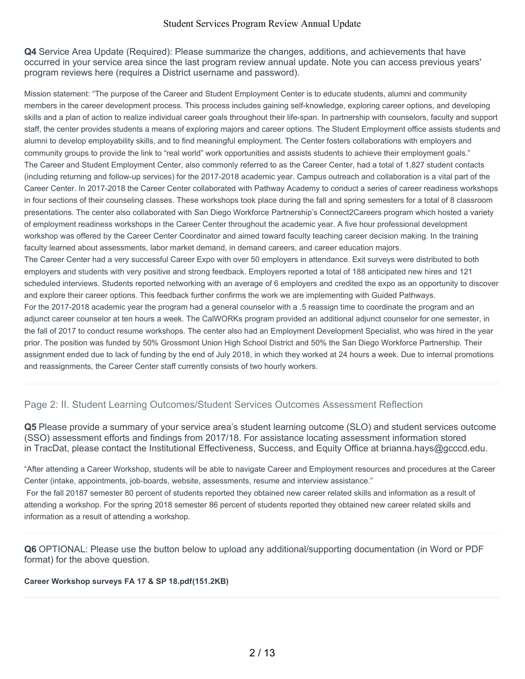**Q4** Service Area Update (Required): Please summarize the changes, additions, and achievements that have occurred in your service area since the last program review annual update. Note you can access previous years' program reviews here (requires a District username and password).

Mission statement: "The purpose of the Career and Student Employment Center is to educate students, alumni and community members in the career development process. This process includes gaining self-knowledge, exploring career options, and developing skills and a plan of action to realize individual career goals throughout their life-span. In partnership with counselors, faculty and support staff, the center provides students a means of exploring majors and career options. The Student Employment office assists students and alumni to develop employability skills, and to find meaningful employment. The Center fosters collaborations with employers and community groups to provide the link to "real world" work opportunities and assists students to achieve their employment goals." The Career and Student Employment Center, also commonly referred to as the Career Center, had a total of 1,827 student contacts (including returning and follow-up services) for the 2017-2018 academic year. Campus outreach and collaboration is a vital part of the Career Center. In 2017-2018 the Career Center collaborated with Pathway Academy to conduct a series of career readiness workshops in four sections of their counseling classes. These workshops took place during the fall and spring semesters for a total of 8 classroom presentations. The center also collaborated with San Diego Workforce Partnership's Connect2Careers program which hosted a variety of employment readiness workshops in the Career Center throughout the academic year. A five hour professional development workshop was offered by the Career Center Coordinator and aimed toward faculty teaching career decision making. In the training faculty learned about assessments, labor market demand, in demand careers, and career education majors. The Career Center had a very successful Career Expo with over 50 employers in attendance. Exit surveys were distributed to both employers and students with very positive and strong feedback. Employers reported a total of 188 anticipated new hires and 121 scheduled interviews. Students reported networking with an average of 6 employers and credited the expo as an opportunity to discover and explore their career options. This feedback further confirms the work we are implementing with Guided Pathways. For the 2017-2018 academic year the program had a general counselor with a .5 reassign time to coordinate the program and an adjunct career counselor at ten hours a week. The CalWORKs program provided an additional adjunct counselor for one semester, in the fall of 2017 to conduct resume workshops. The center also had an Employment Development Specialist, who was hired in the year prior. The position was funded by 50% Grossmont Union High School District and 50% the San Diego Workforce Partnership. Their assignment ended due to lack of funding by the end of July 2018, in which they worked at 24 hours a week. Due to internal promotions and reassignments, the Career Center staff currently consists of two hourly workers.

## Page 2: II. Student Learning Outcomes/Student Services Outcomes Assessment Reflection

**Q5** Please provide a summary of your service area's student learning outcome (SLO) and student services outcome (SSO) assessment efforts and findings from 2017/18. For assistance locating assessment information stored in TracDat, please contact the Institutional Effectiveness, Success, and Equity Office at brianna.hays@gcccd.edu.

"After attending a Career Workshop, students will be able to navigate Career and Employment resources and procedures at the Career Center (intake, appointments, job-boards, website, assessments, resume and interview assistance."

For the fall 20187 semester 80 percent of students reported they obtained new career related skills and information as a result of attending a workshop. For the spring 2018 semester 86 percent of students reported they obtained new career related skills and information as a result of attending a workshop.

**Q6** OPTIONAL: Please use the button below to upload any additional/supporting documentation (in Word or PDF format) for the above question.

#### **Career Workshop surveys FA 17 & SP 18.pdf(151.2KB)**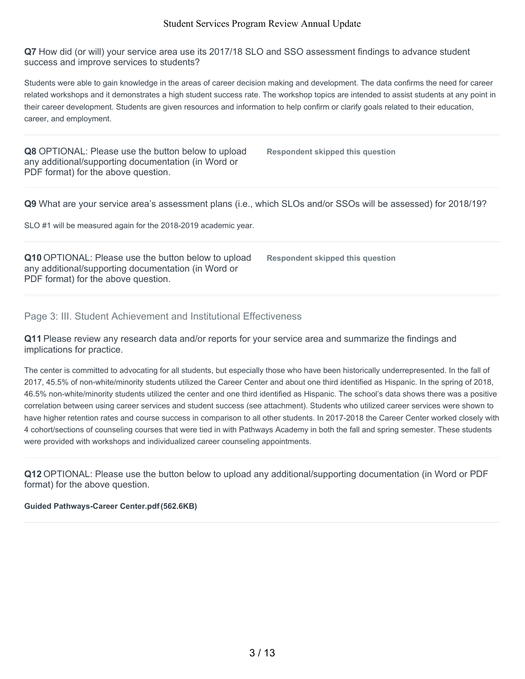**Q7** How did (or will) your service area use its 2017/18 SLO and SSO assessment findings to advance student success and improve services to students?

Students were able to gain knowledge in the areas of career decision making and development. The data confirms the need for career related workshops and it demonstrates a high student success rate. The workshop topics are intended to assist students at any point in their career development. Students are given resources and information to help confirm or clarify goals related to their education, career, and employment.

**Q8** OPTIONAL: Please use the button below to upload any additional/supporting documentation (in Word or PDF format) for the above question.

**Respondent skipped this question**

**Q9** What are your service area's assessment plans (i.e., which SLOs and/or SSOs will be assessed) for 2018/19?

SLO #1 will be measured again for the 2018-2019 academic year.

**Q10** OPTIONAL: Please use the button below to upload any additional/supporting documentation (in Word or PDF format) for the above question.

**Respondent skipped this question**

### Page 3: III. Student Achievement and Institutional Effectiveness

**Q11** Please review any research data and/or reports for your service area and summarize the findings and implications for practice.

The center is committed to advocating for all students, but especially those who have been historically underrepresented. In the fall of 2017, 45.5% of non-white/minority students utilized the Career Center and about one third identified as Hispanic. In the spring of 2018, 46.5% non-white/minority students utilized the center and one third identified as Hispanic. The school's data shows there was a positive correlation between using career services and student success (see attachment). Students who utilized career services were shown to have higher retention rates and course success in comparison to all other students. In 2017-2018 the Career Center worked closely with 4 cohort/sections of counseling courses that were tied in with Pathways Academy in both the fall and spring semester. These students were provided with workshops and individualized career counseling appointments.

**Q12** OPTIONAL: Please use the button below to upload any additional/supporting documentation (in Word or PDF format) for the above question.

#### **Guided Pathways-Career Center.pdf(562.6KB)**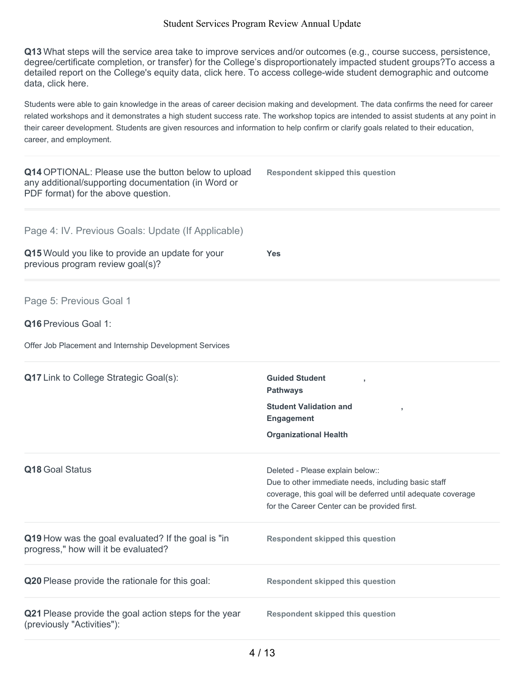**Q13** What steps will the service area take to improve services and/or outcomes (e.g., course success, persistence, degree/certificate completion, or transfer) for the College's disproportionately impacted student groups?To access a detailed report on the College's equity data, click here. To access college-wide student demographic and outcome data, click here.

Students were able to gain knowledge in the areas of career decision making and development. The data confirms the need for career related workshops and it demonstrates a high student success rate. The workshop topics are intended to assist students at any point in their career development. Students are given resources and information to help confirm or clarify goals related to their education, career, and employment.

| Q14 OPTIONAL: Please use the button below to upload<br>any additional/supporting documentation (in Word or<br>PDF format) for the above question. | <b>Respondent skipped this question</b>                                                                                                                                                                 |
|---------------------------------------------------------------------------------------------------------------------------------------------------|---------------------------------------------------------------------------------------------------------------------------------------------------------------------------------------------------------|
| Page 4: IV. Previous Goals: Update (If Applicable)<br>Q15 Would you like to provide an update for your<br>previous program review goal(s)?        | <b>Yes</b>                                                                                                                                                                                              |
| Page 5: Previous Goal 1<br><b>Q16</b> Previous Goal 1:<br>Offer Job Placement and Internship Development Services                                 |                                                                                                                                                                                                         |
| <b>Q17</b> Link to College Strategic Goal(s):                                                                                                     | <b>Guided Student</b><br>y<br><b>Pathways</b><br><b>Student Validation and</b><br>×<br><b>Engagement</b><br><b>Organizational Health</b>                                                                |
| Q18 Goal Status                                                                                                                                   | Deleted - Please explain below::<br>Due to other immediate needs, including basic staff<br>coverage, this goal will be deferred until adequate coverage<br>for the Career Center can be provided first. |
| Q19 How was the goal evaluated? If the goal is "in<br>progress," how will it be evaluated?                                                        | <b>Respondent skipped this question</b>                                                                                                                                                                 |
| Q20 Please provide the rationale for this goal:                                                                                                   | <b>Respondent skipped this question</b>                                                                                                                                                                 |
| Q21 Please provide the goal action steps for the year<br>(previously "Activities"):                                                               | <b>Respondent skipped this question</b>                                                                                                                                                                 |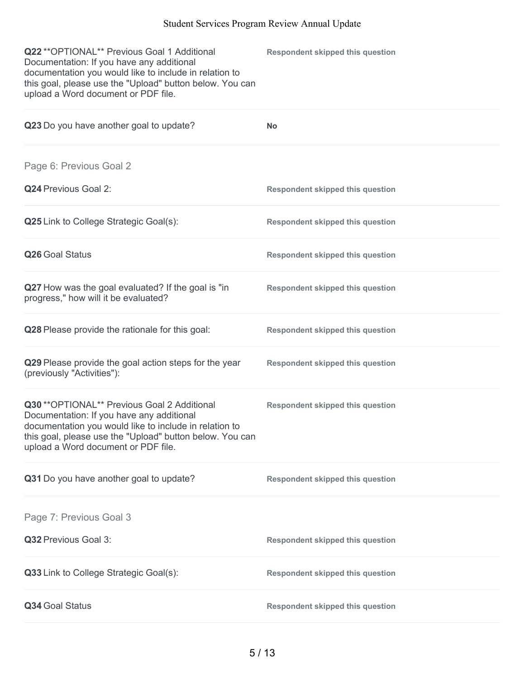| Q22 ** OPTIONAL** Previous Goal 1 Additional<br>Documentation: If you have any additional<br>documentation you would like to include in relation to<br>this goal, please use the "Upload" button below. You can<br>upload a Word document or PDF file. | <b>Respondent skipped this question</b> |
|--------------------------------------------------------------------------------------------------------------------------------------------------------------------------------------------------------------------------------------------------------|-----------------------------------------|
| Q23 Do you have another goal to update?                                                                                                                                                                                                                | <b>No</b>                               |
| Page 6: Previous Goal 2                                                                                                                                                                                                                                |                                         |
| Q24 Previous Goal 2:                                                                                                                                                                                                                                   | <b>Respondent skipped this question</b> |
| <b>Q25</b> Link to College Strategic Goal(s):                                                                                                                                                                                                          | <b>Respondent skipped this question</b> |
| Q26 Goal Status                                                                                                                                                                                                                                        | <b>Respondent skipped this question</b> |
| Q27 How was the goal evaluated? If the goal is "in<br>progress," how will it be evaluated?                                                                                                                                                             | <b>Respondent skipped this question</b> |
| Q28 Please provide the rationale for this goal:                                                                                                                                                                                                        | <b>Respondent skipped this question</b> |
| Q29 Please provide the goal action steps for the year<br>(previously "Activities"):                                                                                                                                                                    | <b>Respondent skipped this question</b> |
| Q30 ** OPTIONAL** Previous Goal 2 Additional<br>Documentation: If you have any additional<br>documentation you would like to include in relation to<br>this goal, please use the "Upload" button below. You can<br>upload a Word document or PDF file. | <b>Respondent skipped this question</b> |
| Q31 Do you have another goal to update?                                                                                                                                                                                                                | <b>Respondent skipped this question</b> |
| Page 7: Previous Goal 3                                                                                                                                                                                                                                |                                         |
| Q32 Previous Goal 3:                                                                                                                                                                                                                                   | <b>Respondent skipped this question</b> |
| Q33 Link to College Strategic Goal(s):                                                                                                                                                                                                                 | <b>Respondent skipped this question</b> |
| Q34 Goal Status                                                                                                                                                                                                                                        | <b>Respondent skipped this question</b> |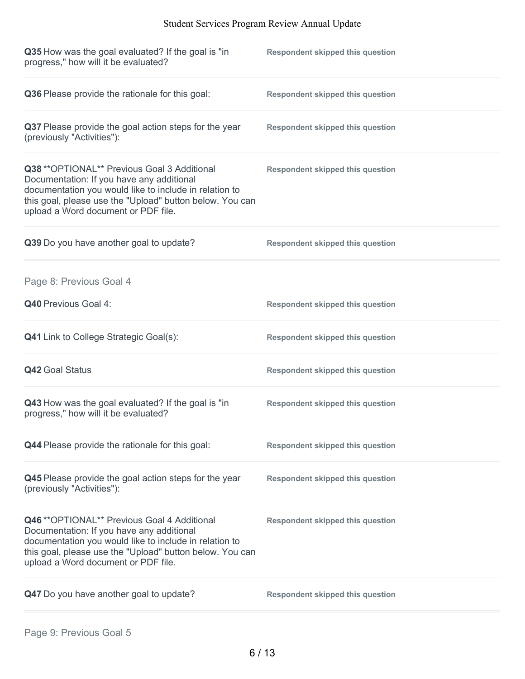| Q35 How was the goal evaluated? If the goal is "in<br>progress," how will it be evaluated?                                                                                                                                                             | <b>Respondent skipped this question</b> |
|--------------------------------------------------------------------------------------------------------------------------------------------------------------------------------------------------------------------------------------------------------|-----------------------------------------|
| Q36 Please provide the rationale for this goal:                                                                                                                                                                                                        | <b>Respondent skipped this question</b> |
| Q37 Please provide the goal action steps for the year<br>(previously "Activities"):                                                                                                                                                                    | <b>Respondent skipped this question</b> |
| Q38 ** OPTIONAL** Previous Goal 3 Additional<br>Documentation: If you have any additional<br>documentation you would like to include in relation to<br>this goal, please use the "Upload" button below. You can<br>upload a Word document or PDF file. | <b>Respondent skipped this question</b> |
| Q39 Do you have another goal to update?                                                                                                                                                                                                                | <b>Respondent skipped this question</b> |
| Page 8: Previous Goal 4                                                                                                                                                                                                                                |                                         |
| Q40 Previous Goal 4:                                                                                                                                                                                                                                   | <b>Respondent skipped this question</b> |
| <b>Q41</b> Link to College Strategic Goal(s):                                                                                                                                                                                                          | <b>Respondent skipped this question</b> |
| <b>Q42 Goal Status</b>                                                                                                                                                                                                                                 | <b>Respondent skipped this question</b> |
| Q43 How was the goal evaluated? If the goal is "in<br>progress," how will it be evaluated?                                                                                                                                                             | <b>Respondent skipped this question</b> |
| Q44 Please provide the rationale for this goal:                                                                                                                                                                                                        | <b>Respondent skipped this question</b> |
| Q45 Please provide the goal action steps for the year<br>(previously "Activities"):                                                                                                                                                                    | <b>Respondent skipped this question</b> |
| Q46 ** OPTIONAL** Previous Goal 4 Additional<br>Documentation: If you have any additional<br>documentation you would like to include in relation to<br>this goal, please use the "Upload" button below. You can<br>upload a Word document or PDF file. | <b>Respondent skipped this question</b> |
| Q47 Do you have another goal to update?                                                                                                                                                                                                                | <b>Respondent skipped this question</b> |
|                                                                                                                                                                                                                                                        |                                         |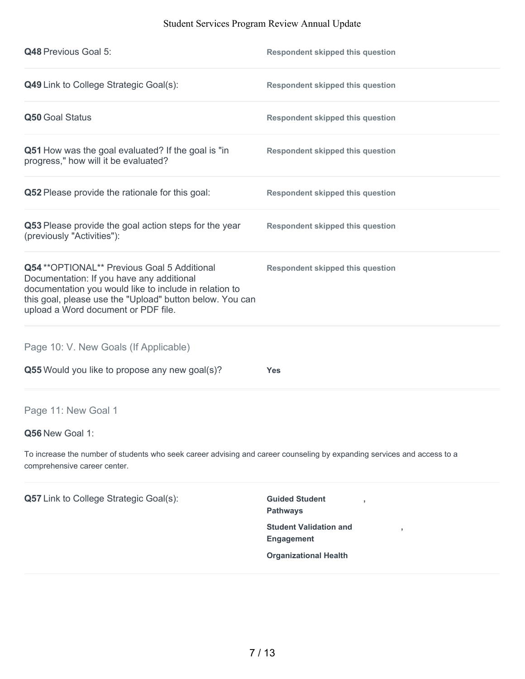| <b>Q48 Previous Goal 5:</b>                                                                                                                                                                                                                            | <b>Respondent skipped this question</b>            |
|--------------------------------------------------------------------------------------------------------------------------------------------------------------------------------------------------------------------------------------------------------|----------------------------------------------------|
| Q49 Link to College Strategic Goal(s):                                                                                                                                                                                                                 | <b>Respondent skipped this question</b>            |
| Q50 Goal Status                                                                                                                                                                                                                                        | <b>Respondent skipped this question</b>            |
| Q51 How was the goal evaluated? If the goal is "in<br>progress," how will it be evaluated?                                                                                                                                                             | <b>Respondent skipped this question</b>            |
| Q52 Please provide the rationale for this goal:                                                                                                                                                                                                        | <b>Respondent skipped this question</b>            |
| Q53 Please provide the goal action steps for the year<br>(previously "Activities"):                                                                                                                                                                    | <b>Respondent skipped this question</b>            |
| Q54 ** OPTIONAL** Previous Goal 5 Additional<br>Documentation: If you have any additional<br>documentation you would like to include in relation to<br>this goal, please use the "Upload" button below. You can<br>upload a Word document or PDF file. | <b>Respondent skipped this question</b>            |
| Page 10: V. New Goals (If Applicable)                                                                                                                                                                                                                  |                                                    |
| Q55 Would you like to propose any new goal(s)?                                                                                                                                                                                                         | <b>Yes</b>                                         |
| Page 11: New Goal 1                                                                                                                                                                                                                                    |                                                    |
| Q56 New Goal 1:                                                                                                                                                                                                                                        |                                                    |
| To increase the number of students who seek career advising and career counseling by expanding services and access to a<br>comprehensive career center.                                                                                                |                                                    |
| Q57 Link to College Strategic Goal(s):                                                                                                                                                                                                                 | <b>Guided Student</b><br><b>Pathways</b>           |
|                                                                                                                                                                                                                                                        | <b>Student Validation and</b><br><b>Engagement</b> |
|                                                                                                                                                                                                                                                        | <b>Organizational Health</b>                       |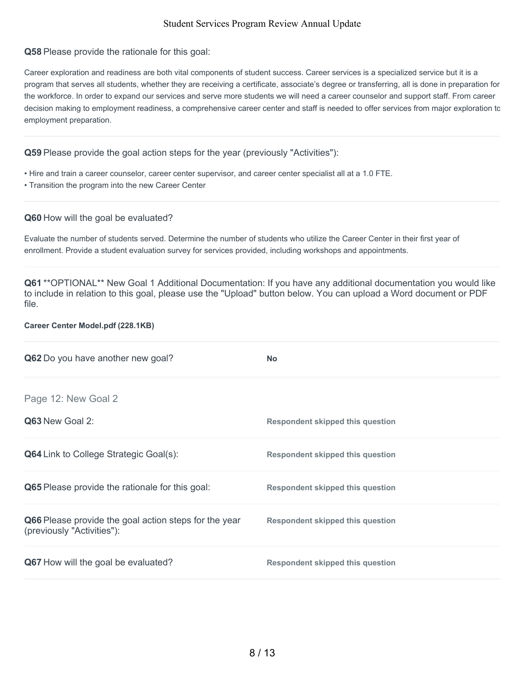#### **Q58** Please provide the rationale for this goal:

Career exploration and readiness are both vital components of student success. Career services is a specialized service but it is a program that serves all students, whether they are receiving a certificate, associate's degree or transferring, all is done in preparation for the workforce. In order to expand our services and serve more students we will need a career counselor and support staff. From career decision making to employment readiness, a comprehensive career center and staff is needed to offer services from major exploration to employment preparation.

#### **Q59** Please provide the goal action steps for the year (previously "Activities"):

- Hire and train a career counselor, career center supervisor, and career center specialist all at a 1.0 FTE.
- Transition the program into the new Career Center

#### **Q60** How will the goal be evaluated?

Evaluate the number of students served. Determine the number of students who utilize the Career Center in their first year of enrollment. Provide a student evaluation survey for services provided, including workshops and appointments.

**Q61** \*\*OPTIONAL\*\* New Goal 1 Additional Documentation: If you have any additional documentation you would like to include in relation to this goal, please use the "Upload" button below. You can upload a Word document or PDF file.

#### **Career Center Model.pdf (228.1KB)**

| Q62 Do you have another new goal?                                                   | <b>No</b>                               |
|-------------------------------------------------------------------------------------|-----------------------------------------|
| Page 12: New Goal 2                                                                 |                                         |
| Q63 New Goal 2:                                                                     | <b>Respondent skipped this question</b> |
| <b>Q64</b> Link to College Strategic Goal(s):                                       | <b>Respondent skipped this question</b> |
| <b>Q65</b> Please provide the rationale for this goal:                              | Respondent skipped this question        |
| Q66 Please provide the goal action steps for the year<br>(previously "Activities"): | <b>Respondent skipped this question</b> |
| <b>Q67</b> How will the goal be evaluated?                                          | <b>Respondent skipped this question</b> |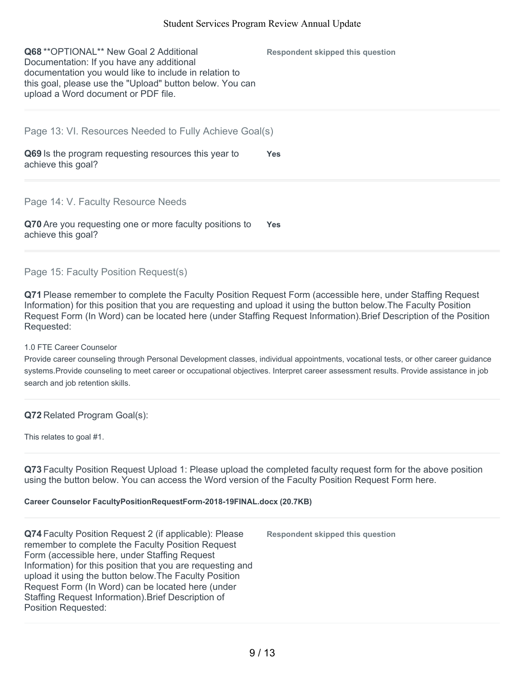| <b>Q68</b> ** OPTIONAL ** New Goal 2 Additional<br>Documentation: If you have any additional<br>documentation you would like to include in relation to<br>this goal, please use the "Upload" button below. You can<br>upload a Word document or PDF file. | Respondent skipped this question |
|-----------------------------------------------------------------------------------------------------------------------------------------------------------------------------------------------------------------------------------------------------------|----------------------------------|
| Page 13: VI. Resources Needed to Fully Achieve Goal(s)                                                                                                                                                                                                    |                                  |
| Q69 Is the program requesting resources this year to<br>achieve this goal?                                                                                                                                                                                | <b>Yes</b>                       |
| Page 14: V. Faculty Resource Needs                                                                                                                                                                                                                        |                                  |
| Q70 Are you requesting one or more faculty positions to<br>achieve this goal?                                                                                                                                                                             | <b>Yes</b>                       |

### Page 15: Faculty Position Request(s)

**Q71** Please remember to complete the Faculty Position Request Form (accessible here, under Staffing Request Information) for this position that you are requesting and upload it using the button below.The Faculty Position Request Form (In Word) can be located here (under Staffing Request Information).Brief Description of the Position Requested:

#### 1.0 FTE Career Counselor

Provide career counseling through Personal Development classes, individual appointments, vocational tests, or other career guidance systems.Provide counseling to meet career or occupational objectives. Interpret career assessment results. Provide assistance in job search and job retention skills.

### **Q72** Related Program Goal(s):

This relates to goal #1.

**Q73** Faculty Position Request Upload 1: Please upload the completed faculty request form for the above position using the button below. You can access the Word version of the Faculty Position Request Form here.

#### **Career Counselor FacultyPositionRequestForm-2018-19FINAL.docx (20.7KB)**

**Q74** Faculty Position Request 2 (if applicable): Please remember to complete the Faculty Position Request Form (accessible here, under Staffing Request Information) for this position that you are requesting and upload it using the button below.The Faculty Position Request Form (In Word) can be located here (under Staffing Request Information).Brief Description of Position Requested:

**Respondent skipped this question**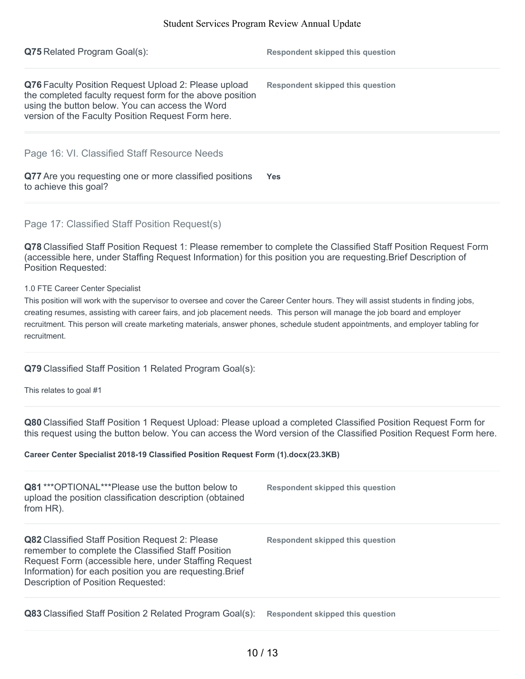| <b>Q75</b> Related Program Goal(s):                                                                                                                                                                                                                                                                                                                                                                                                                        | <b>Respondent skipped this question</b> |
|------------------------------------------------------------------------------------------------------------------------------------------------------------------------------------------------------------------------------------------------------------------------------------------------------------------------------------------------------------------------------------------------------------------------------------------------------------|-----------------------------------------|
| Q76 Faculty Position Request Upload 2: Please upload<br>the completed faculty request form for the above position<br>using the button below. You can access the Word<br>version of the Faculty Position Request Form here.                                                                                                                                                                                                                                 | <b>Respondent skipped this question</b> |
| Page 16: VI. Classified Staff Resource Needs                                                                                                                                                                                                                                                                                                                                                                                                               |                                         |
| Q77 Are you requesting one or more classified positions<br>to achieve this goal?                                                                                                                                                                                                                                                                                                                                                                           | <b>Yes</b>                              |
| Page 17: Classified Staff Position Request(s)                                                                                                                                                                                                                                                                                                                                                                                                              |                                         |
| Q78 Classified Staff Position Request 1: Please remember to complete the Classified Staff Position Request Form<br>(accessible here, under Staffing Request Information) for this position you are requesting. Brief Description of<br><b>Position Requested:</b>                                                                                                                                                                                          |                                         |
| 1.0 FTE Career Center Specialist<br>This position will work with the supervisor to oversee and cover the Career Center hours. They will assist students in finding jobs,<br>creating resumes, assisting with career fairs, and job placement needs. This person will manage the job board and employer<br>recruitment. This person will create marketing materials, answer phones, schedule student appointments, and employer tabling for<br>recruitment. |                                         |

## **Q79** Classified Staff Position 1 Related Program Goal(s):

This relates to goal #1

**Q80** Classified Staff Position 1 Request Upload: Please upload a completed Classified Position Request Form for this request using the button below. You can access the Word version of the Classified Position Request Form here.

#### **Career Center Specialist 2018-19 Classified Position Request Form (1).docx(23.3KB)**

| <b>Q81</b> *** OPTIONAL *** Please use the button below to<br>upload the position classification description (obtained<br>from HR).                                                                                                                                     | Respondent skipped this question |
|-------------------------------------------------------------------------------------------------------------------------------------------------------------------------------------------------------------------------------------------------------------------------|----------------------------------|
| <b>Q82</b> Classified Staff Position Request 2: Please<br>remember to complete the Classified Staff Position<br>Request Form (accessible here, under Staffing Request<br>Information) for each position you are requesting. Brief<br>Description of Position Requested: | Respondent skipped this question |
| <b>Q83</b> Classified Staff Position 2 Related Program Goal(s):                                                                                                                                                                                                         | Respondent skipped this question |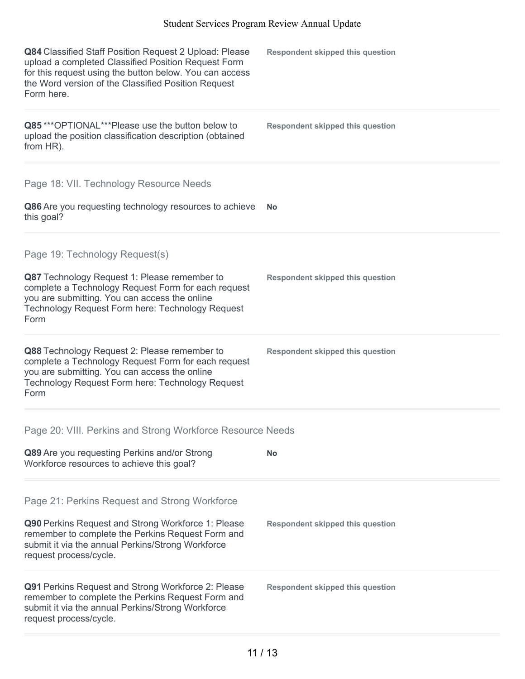| Q84 Classified Staff Position Request 2 Upload: Please<br>upload a completed Classified Position Request Form<br>for this request using the button below. You can access<br>the Word version of the Classified Position Request<br>Form here. | <b>Respondent skipped this question</b> |
|-----------------------------------------------------------------------------------------------------------------------------------------------------------------------------------------------------------------------------------------------|-----------------------------------------|
| Q85***OPTIONAL***Please use the button below to<br>upload the position classification description (obtained<br>from HR).                                                                                                                      | <b>Respondent skipped this question</b> |
| Page 18: VII. Technology Resource Needs                                                                                                                                                                                                       |                                         |
| Q86 Are you requesting technology resources to achieve<br>this goal?                                                                                                                                                                          | <b>No</b>                               |
| Page 19: Technology Request(s)                                                                                                                                                                                                                |                                         |
| Q87 Technology Request 1: Please remember to<br>complete a Technology Request Form for each request<br>you are submitting. You can access the online<br>Technology Request Form here: Technology Request<br>Form                              | <b>Respondent skipped this question</b> |
| Q88 Technology Request 2: Please remember to<br>complete a Technology Request Form for each request<br>you are submitting. You can access the online<br>Technology Request Form here: Technology Request<br>Form                              | <b>Respondent skipped this question</b> |
| Page 20: VIII. Perkins and Strong Workforce Resource Needs                                                                                                                                                                                    |                                         |
| Q89 Are you requesting Perkins and/or Strong<br>Workforce resources to achieve this goal?                                                                                                                                                     | <b>No</b>                               |
| Page 21: Perkins Request and Strong Workforce                                                                                                                                                                                                 |                                         |
| Q90 Perkins Request and Strong Workforce 1: Please<br>remember to complete the Perkins Request Form and<br>submit it via the annual Perkins/Strong Workforce<br>request process/cycle.                                                        | <b>Respondent skipped this question</b> |
| <b>Q91</b> Perkins Request and Strong Workforce 2: Please<br>remember to complete the Perkins Request Form and<br>submit it via the annual Perkins/Strong Workforce<br>request process/cycle.                                                 | <b>Respondent skipped this question</b> |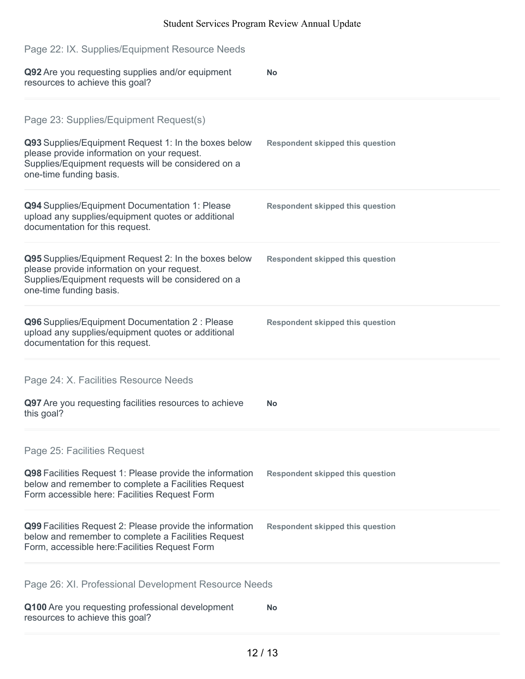| Page 22: IX. Supplies/Equipment Resource Needs                                                                                                                                                                                  |                                         |
|---------------------------------------------------------------------------------------------------------------------------------------------------------------------------------------------------------------------------------|-----------------------------------------|
| Q92 Are you requesting supplies and/or equipment<br>resources to achieve this goal?                                                                                                                                             | <b>No</b>                               |
| Page 23: Supplies/Equipment Request(s)<br>Q93 Supplies/Equipment Request 1: In the boxes below<br>please provide information on your request.<br>Supplies/Equipment requests will be considered on a<br>one-time funding basis. | <b>Respondent skipped this question</b> |
| Q94 Supplies/Equipment Documentation 1: Please<br>upload any supplies/equipment quotes or additional<br>documentation for this request.                                                                                         | <b>Respondent skipped this question</b> |
| Q95 Supplies/Equipment Request 2: In the boxes below<br>please provide information on your request.<br>Supplies/Equipment requests will be considered on a<br>one-time funding basis.                                           | <b>Respondent skipped this question</b> |
| Q96 Supplies/Equipment Documentation 2 : Please<br>upload any supplies/equipment quotes or additional<br>documentation for this request.                                                                                        | <b>Respondent skipped this question</b> |
| Page 24: X. Facilities Resource Needs                                                                                                                                                                                           |                                         |
| Q97 Are you requesting facilities resources to achieve<br>this goal?                                                                                                                                                            | No                                      |
| Page 25: Facilities Request                                                                                                                                                                                                     |                                         |
| Q98 Facilities Request 1: Please provide the information<br>below and remember to complete a Facilities Request<br>Form accessible here: Facilities Request Form                                                                | <b>Respondent skipped this question</b> |
| Q99 Facilities Request 2: Please provide the information<br>below and remember to complete a Facilities Request<br>Form, accessible here: Facilities Request Form                                                               | <b>Respondent skipped this question</b> |
| Page 26: XI. Professional Development Resource Needs                                                                                                                                                                            |                                         |
| Q100 Are you requesting professional development<br>resources to achieve this goal?                                                                                                                                             | No                                      |
|                                                                                                                                                                                                                                 |                                         |